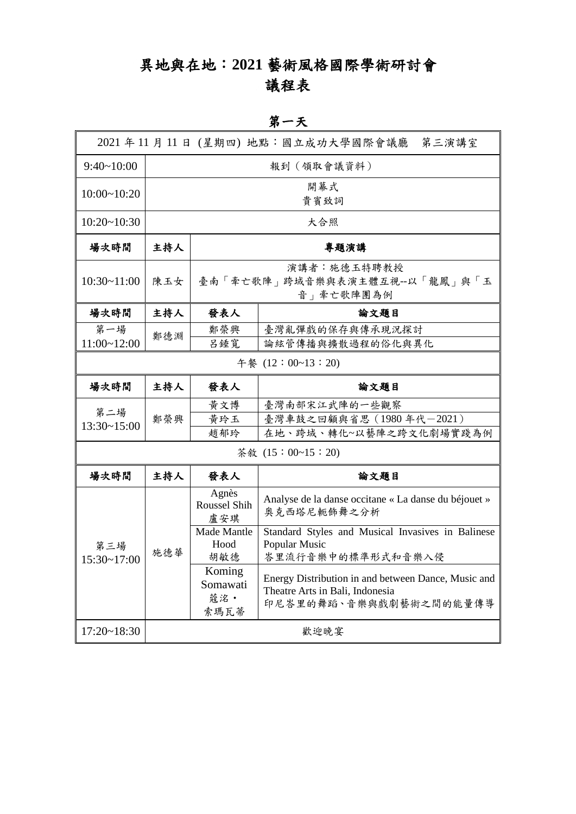## 異地與在地:**2021** 藝術風格國際學術研討會 議程表

第一天

|                    |             |                                                           | 2021 年 11 月 11 日 (星期四) 地點:國立成功大學國際會議廳<br>第三演講室                                                                   |  |  |
|--------------------|-------------|-----------------------------------------------------------|------------------------------------------------------------------------------------------------------------------|--|--|
| 9:40~10:00         | 報到 (領取會議資料) |                                                           |                                                                                                                  |  |  |
| 10:00~10:20        | 開幕式<br>貴賓致詞 |                                                           |                                                                                                                  |  |  |
| 10:20~10:30        | 大合照         |                                                           |                                                                                                                  |  |  |
| 場次時間               | 主持人         | 專題演講                                                      |                                                                                                                  |  |  |
| 10:30~11:00        | 陳玉女         | 演講者:施德玉特聘教授<br>臺南「牽亡歌陣」跨域音樂與表演主體互視--以「龍鳳」與「玉<br>音」牽亡歌陣團為例 |                                                                                                                  |  |  |
| 場次時間               | 主持人         | 發表人                                                       | 論文題目                                                                                                             |  |  |
| 第一場<br>11:00~12:00 | 鄭德淵         | 鄭榮興<br>呂錘寬                                                | 臺灣亂彈戲的保存與傳承現況探討<br>論絃管傳播與擴散過程的俗化與異化                                                                              |  |  |
| 午餐 (12:00~13:20)   |             |                                                           |                                                                                                                  |  |  |
| 場次時間               | 主持人         | 發表人                                                       | 論文題目                                                                                                             |  |  |
| 第二場<br>13:30~15:00 | 鄭榮興         | 黄文博<br>黄玲玉<br>趙郁玲                                         | 臺灣南部宋江武陣的一些觀察<br>臺灣車鼓之回顧與省思(1980年代-2021)<br>在地、跨域、轉化~以藝陣之跨文化劇場實踐為例                                               |  |  |
|                    |             |                                                           | 茶敘 (15:00~15:20)                                                                                                 |  |  |
| 場次時間               | 主持人         | 發表人                                                       | 論文題目                                                                                                             |  |  |
|                    |             | Agnès<br><b>Roussel Shih</b><br>盧安琪                       | Analyse de la danse occitane « La danse du béjouet »<br>奥克西塔尼軛飾舞之分析                                              |  |  |
| 第三場<br>15:30~17:00 | 施德華         | Made Mantle<br>Hood<br>胡敏德                                | Standard Styles and Musical Invasives in Balinese<br>Popular Music<br>峇里流行音樂中的標準形式和音樂入侵                          |  |  |
|                    |             | Koming<br>Somawati<br>蔻洺·<br>索瑪瓦蒂                         | Energy Distribution in and between Dance, Music and<br>Theatre Arts in Bali, Indonesia<br>印尼峇里的舞蹈、音樂與戲劇藝術之間的能量傳導 |  |  |
| $17:20 \sim 18:30$ | 歡迎晚宴        |                                                           |                                                                                                                  |  |  |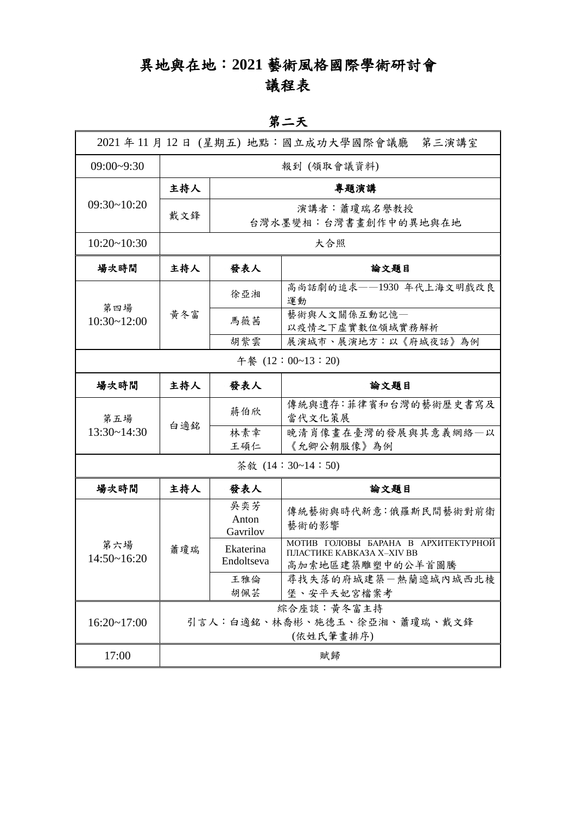# 異地與在地:**2021** 藝術風格國際學術研討會 議程表

#### 第二天

|                    |                                                        |                                     | 2021 年 11 月 12 日 (星期五) 地點:國立成功大學國際會議廳<br>第三演講室                                       |  |
|--------------------|--------------------------------------------------------|-------------------------------------|--------------------------------------------------------------------------------------|--|
| $09:00 - 9:30$     | 報到 (領取會議資料)                                            |                                     |                                                                                      |  |
| $09:30-10:20$      | 主持人                                                    | 專題演講                                |                                                                                      |  |
|                    | 戴文鋒                                                    | 演講者:蕭瓊瑞名譽教授<br>台灣水墨變相:台灣書畫創作中的異地與在地 |                                                                                      |  |
| 10:20~10:30        | 大合照                                                    |                                     |                                                                                      |  |
| 場次時間               | 主持人                                                    | 發表人                                 | 論文題目                                                                                 |  |
|                    | 黄冬富                                                    | 徐亞湘                                 | 高尚話劇的追求——1930年代上海文明戲改良<br>運動                                                         |  |
| 第四場<br>10:30~12:00 |                                                        | 馬薇茜                                 | 藝術與人文關係互動記憶一<br>以疫情之下虛實數位領域實務解析                                                      |  |
|                    |                                                        | 胡紫雲                                 | 展演城市、展演地方:以《府城夜話》為例                                                                  |  |
|                    |                                                        |                                     | 午餐 (12:00~13:20)                                                                     |  |
| 場次時間               | 主持人                                                    | 發表人                                 | 論文題目                                                                                 |  |
| 第五場                | 白適銘                                                    | 蔣伯欣                                 | 傳統與遺存:菲律賓和台灣的藝術歷史書寫及<br>當代文化策展                                                       |  |
| $13:30 - 14:30$    |                                                        | 林素幸<br>王碩仁                          | 晚清肖像畫在臺灣的發展與其意義網絡一以<br>《允卿公朝服像》為例                                                    |  |
|                    |                                                        |                                     | 茶敘 (14:30~14:50)                                                                     |  |
| 場次時間               | 主持人                                                    | 發表人                                 | 論文題目                                                                                 |  |
| 第六場<br>14:50~16:20 | 蕭瓊瑞                                                    | 吳奕芳<br>Anton<br>Gavrilov            | 傳統藝術與時代新意:俄羅斯民間藝術對前衛<br>藝術的影響                                                        |  |
|                    |                                                        | Ekaterina<br>Endoltseva             | МОТИВ ГОЛОВЫ БАРАНА В АРХИТЕКТУРНОЙ<br>ПЛАСТИКЕ КАВКАЗА X-XIV ВВ<br>高加索地區建築雕塑中的公羊首圖騰 |  |
|                    |                                                        | 王雅倫<br>胡佩芸                          | 尋找失落的府城建築一熱蘭遮城內城西北棱<br>堡、安平天妃宮檔案考                                                    |  |
| $16:20 - 17:00$    | 綜合座談:黃冬富主持<br>引言人:白適銘、林喬彬、施德玉、徐亞湘、蕭瓊瑞、戴文鋒<br>(依姓氏筆畫排序) |                                     |                                                                                      |  |
| 17:00              |                                                        |                                     | 賦歸                                                                                   |  |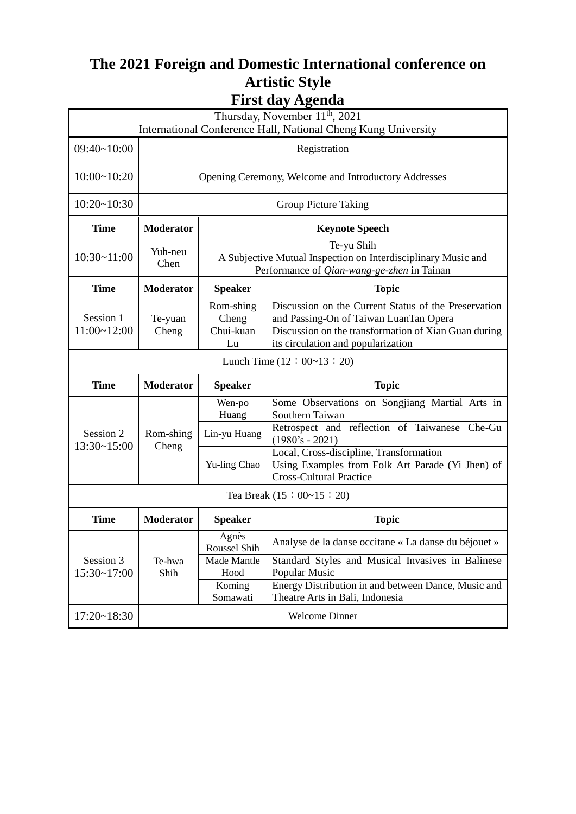## **The 2021 Foreign and Domestic International conference on Artistic Style First day Agenda**

| $\sim$ , $ \sim$ $\sim$<br>Thursday, November 11 <sup>th</sup> , 2021 |                                                      |                                                                                                                                  |                                                                                                                                                                                              |  |  |  |
|-----------------------------------------------------------------------|------------------------------------------------------|----------------------------------------------------------------------------------------------------------------------------------|----------------------------------------------------------------------------------------------------------------------------------------------------------------------------------------------|--|--|--|
| International Conference Hall, National Cheng Kung University         |                                                      |                                                                                                                                  |                                                                                                                                                                                              |  |  |  |
| $09:40-10:00$                                                         | Registration                                         |                                                                                                                                  |                                                                                                                                                                                              |  |  |  |
| 10:00~10:20                                                           | Opening Ceremony, Welcome and Introductory Addresses |                                                                                                                                  |                                                                                                                                                                                              |  |  |  |
| 10:20~10:30                                                           | <b>Group Picture Taking</b>                          |                                                                                                                                  |                                                                                                                                                                                              |  |  |  |
| <b>Time</b>                                                           | <b>Moderator</b>                                     | <b>Keynote Speech</b>                                                                                                            |                                                                                                                                                                                              |  |  |  |
| 10:30~11:00                                                           | Yuh-neu<br>Chen                                      | Te-yu Shih<br>A Subjective Mutual Inspection on Interdisciplinary Music and<br>Performance of <i>Qian-wang-ge-zhen</i> in Tainan |                                                                                                                                                                                              |  |  |  |
| <b>Time</b>                                                           | <b>Moderator</b>                                     | <b>Speaker</b>                                                                                                                   | <b>Topic</b>                                                                                                                                                                                 |  |  |  |
| Session 1<br>$11:00 - 12:00$                                          | Te-yuan<br>Cheng                                     | Rom-shing<br>Cheng<br>Chui-kuan<br>Lu                                                                                            | Discussion on the Current Status of the Preservation<br>and Passing-On of Taiwan LuanTan Opera<br>Discussion on the transformation of Xian Guan during<br>its circulation and popularization |  |  |  |
|                                                                       |                                                      |                                                                                                                                  | Lunch Time $(12 : 00~13 : 20)$                                                                                                                                                               |  |  |  |
| <b>Time</b>                                                           | <b>Moderator</b>                                     | <b>Speaker</b>                                                                                                                   | <b>Topic</b>                                                                                                                                                                                 |  |  |  |
|                                                                       | Rom-shing                                            | Wen-po<br>Huang                                                                                                                  | Some Observations on Songjiang Martial Arts in<br>Southern Taiwan                                                                                                                            |  |  |  |
| Session 2                                                             |                                                      |                                                                                                                                  |                                                                                                                                                                                              |  |  |  |
|                                                                       |                                                      | Lin-yu Huang                                                                                                                     | Retrospect and reflection of Taiwanese Che-Gu<br>$(1980's - 2021)$                                                                                                                           |  |  |  |
| 13:30~15:00                                                           | Cheng                                                | Yu-ling Chao                                                                                                                     | Local, Cross-discipline, Transformation<br>Using Examples from Folk Art Parade (Yi Jhen) of<br><b>Cross-Cultural Practice</b>                                                                |  |  |  |
|                                                                       |                                                      |                                                                                                                                  | Tea Break $(15 : 00~15 : 20)$                                                                                                                                                                |  |  |  |
| <b>Time</b>                                                           | Moderator                                            | <b>Speaker</b>                                                                                                                   | <b>Topic</b>                                                                                                                                                                                 |  |  |  |
|                                                                       |                                                      | Agnès<br>Roussel Shih                                                                                                            | Analyse de la danse occitane « La danse du béjouet »                                                                                                                                         |  |  |  |
| Session 3<br>15:30~17:00                                              | Te-hwa<br>Shih                                       | Made Mantle<br>Hood                                                                                                              | Standard Styles and Musical Invasives in Balinese<br>Popular Music                                                                                                                           |  |  |  |
|                                                                       |                                                      | Koming<br>Somawati                                                                                                               | Energy Distribution in and between Dance, Music and<br>Theatre Arts in Bali, Indonesia                                                                                                       |  |  |  |